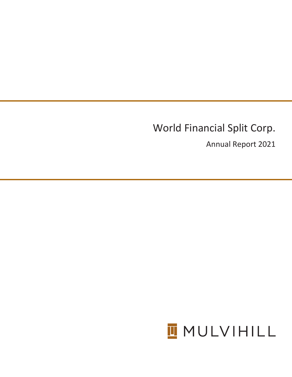# World Financial Split Corp.

Annual Report 2021

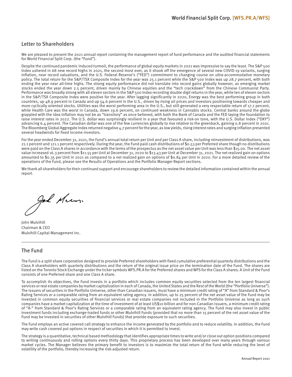# Letter to Shareholders

We are pleased to present the 2021 annual report containing the management report of fund performance and the audited financial statements for World Financial Split Corp. (the "Fund").

Despite the continued pandemic induced turmoil, the performance of global equity markets in 2021 was impressive to say the least. The S&P 500 Index ushered in 68 new record highs in 2021, the second most ever, as it shook off the emergence of several new COVID-19 variants, surging inflation, near record valuations, and the U.S. Federal Reserve's ("FED") commitment to changing course on ultra-accommodative monetary policy. The total return for the S&P/TSX Composite Index for the year was 25.1 percent while the S&P 500 Index was up 28.7 percent, with both ending the year near all-time highs. The strong equity performance did not translate into record gains globally however, as emerging market stocks ended the year down 2.5 percent, driven mainly by Chinese equities and the "tech crackdown" from the Chinese Communist Party. Performance was broadly strong with all eleven sectors in the S&P 500 Index recording double digit returns in the year, while ten of eleven sectors in the S&P/TSX Composite Index were positive for the year. After lagging significantly in 2020, Energy was the best performing group in both countries, up 48.9 percent in Canada and up 54.6 percent in the U.S., driven by rising oil prices and investors positioning towards cheaper and more cyclically oriented stocks. Utilities was the worst performing area in the U.S., but still generated a very respectable return of 17.7 percent, while Health Care was the worst in Canada, down 19.6 percent, on continued weakness in Cannabis stocks. Central banks around the globe grappled with the idea inflation may not be as "transitory" as once believed, with both the Bank of Canada and the FED laying the foundation to raise interest rates in 2022. The U.S. dollar was surprisingly resilient in a year that favoured a risk-on tone, with the U.S. Dollar Index ("DXY") advancing 6.4 percent. The Canadian dollar was one of the few currencies globally to rise relative to the greenback, gaining 0.8 percent in 2021. The Bloomberg Global Aggregate Index returned negative 4.7 percent for the year, as low yields, rising interest rates and surging inflation presented several headwinds for fixed income investors.

For the year ended December 31, 2021, the Fund's annual total return per Unit and per Class A share, including reinvestment of distributions, was 21.1 percent and 121.1 percent respectively. During the year, the Fund paid cash distributions of \$0.53 per Preferred share though no distributions were paid on the Class A shares in accordance with the terms of the prospectus as the net asset value per Unit was less than \$15.00. The net asset value increased 16.3 percent from \$11.55 per Unit at December 31, 2020 to \$13.43 per Unit at December 31, 2021. The net realized gain on options amounted to \$0.35 per Unit in 2021 as compared to a net realized gain on options of \$0.84 per Unit in 2020. For a more detailed review of the operations of the Fund, please see the Results of Operations and the Portfolio Manager Report sections.

We thank all shareholders for their continued support and encourage shareholders to review the detailed information contained within the annual report.

god Macon.

John Mulvihill Chairman & CEO Mulvihill Capital Management Inc.

# The Fund

The Fund is a split share corporation designed to provide Preferred shareholders with fixed cumulative preferential quarterly distributions and the Class A shareholders with quarterly distributions and the return of the original issue price on the termination date of the Fund. The shares are listed on the Toronto Stock Exchange under the ticker symbols WFS.PR.A for the Preferred shares and WFS for the Class A shares. A Unit of the Fund consists of one Preferred share and one Class A share.

To accomplish its objectives, the Fund invests in a portfolio which includes common equity securities selected from the ten largest financial services or real estate companies by market capitalization in each of Canada, the United States and the Rest of the World (the "Portfolio Universe"). The issuers of securities in the Portfolio Universe, other than Canadian issuers, must have a minimum credit rating of "A" from Standard & Poor's Rating Services or a comparable rating from an equivalent rating agency. In addition, up to 25 percent of the net asset value of the Fund may be invested in common equity securities of financial services or real estate companies not included in the Portfolio Universe as long as such companies have a market capitalization at the time of investment of at least US\$10 billion and for non-Canadian issuers, a minimum credit rating of "A-" from Standard & Poor's Rating Services or a comparable rating from an equivalent rating agency. The Fund may also invest in public investment funds including exchange-traded funds or other Mulvihill Funds (provided that no more than 15 percent of the net asset value of the Fund may be invested in securities of other Mulvihill Funds) that provide exposure to such securities.

The Fund employs an active covered call strategy to enhance the income generated by the portfolio and to reduce volatility. In addition, the Fund may write cash covered put options in respect of securities in which it is permitted to invest.

The strategy is a quantitative, technical based methodology that identifies appropriate times to write and/or close out option positions compared to writing continuously and rolling options every thirty days. This proprietary process has been developed over many years through various market cycles. The Manager believes the primary benefit to investors is to maximize the total return of the Fund while reducing the level of volatility of the portfolio, thereby increasing the risk-adjusted return.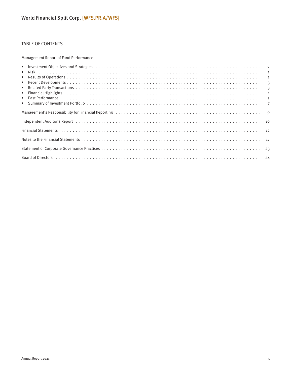# TABLE OF CONTENTS

# Management Report of Fund Performance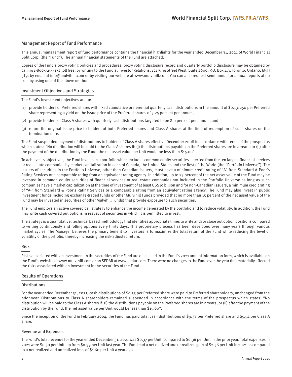# Management Report of Fund Performance

This annual management report of fund performance contains the financial highlights for the year ended December 31, 2021 of World Financial Split Corp. (the "Fund"). The annual financial statements of the Fund are attached.

Copies of the Fund's proxy voting policies and procedures, proxy voting disclosure record and quarterly portfolio disclosure may be obtained by calling 1-800-725-7172 toll free, by writing to the Fund at Investor Relations, 121 King Street West, Suite 2600, P.O. Box 113, Toronto, Ontario, M5H 3T9, by email at info@mulvihill.com or by visiting our website at www.mulvihill.com. You can also request semi-annual or annual reports at no cost by using one of the above methods.

# Investment Objectives and Strategies

The Fund's investment objectives are to:

- (1) provide holders of Preferred shares with fixed cumulative preferential quarterly cash distributions in the amount of \$0.131250 per Preferred share representing a yield on the issue price of the Preferred shares of 5.25 percent per annum,
- (2) provide holders of Class A shares with quarterly cash distributions targeted to be 8.0 percent per annum, and
- (3) return the original issue price to holders of both Preferred shares and Class A shares at the time of redemption of such shares on the termination date.

The Fund suspended payment of distributions to holders of Class A shares effective December 2008 in accordance with terms of the prospectus which states: "No distribution will be paid to the Class A shares if: (i) the distributions payable on the Preferred shares are in arrears; or (ii) after the payment of the distribution by the Fund, the net asset value per Unit would be less than \$15.00".

To achieve its objectives, the Fund invests in a portfolio which includes common equity securities selected from the ten largest financial services or real estate companies by market capitalization in each of Canada, the United States and the Rest of the World (the "Portfolio Universe"). The issuers of securities in the Portfolio Universe, other than Canadian issuers, must have a minimum credit rating of "A" from Standard & Poor's Rating Services or a comparable rating from an equivalent rating agency. In addition, up to 25 percent of the net asset value of the Fund may be invested in common equity securities of financial services or real estate companies not included in the Portfolio Universe as long as such companies have a market capitalization at the time of investment of at least US\$10 billion and for non-Canadian issuers, a minimum credit rating of "A-" from Standard & Poor's Rating Services or a comparable rating from an equivalent rating agency. The Fund may also invest in public investment funds including exchange-traded funds or other Mulvihill Funds provided that no more than 15 percent of the net asset value of the Fund may be invested in securities of other Mulvihill Funds) that provide exposure to such securities.

The Fund employs an active covered call strategy to enhance the income generated by the portfolio and to reduce volatility. In addition, the Fund may write cash covered put options in respect of securities in which it is permitted to invest.

The strategy is a quantitative, technical based methodology that identifies appropriate times to write and/or close out option positions compared to writing continuously and rolling options every thirty days. This proprietary process has been developed over many years through various market cycles. The Manager believes the primary benefit to investors is to maximize the total return of the Fund while reducing the level of volatility of the portfolio, thereby increasing the risk-adjusted return.

# Risk

Risks associated with an investment in the securities of the Fund are discussed in the Fund's 2021 annual information form, which is available on the Fund's website at www.mulvihill.com or on SEDAR at www.sedar.com. There were no changes to the Fund over the year that materially affected the risks associated with an investment in the securities of the Fund.

# Results of Operations

## Distributions

For the year ended December 31, 2021, cash distributions of \$0.53 per Preferred share were paid to Preferred shareholders, unchanged from the prior year. Distributions to Class A shareholders remained suspended in accordance with the terms of the prospectus which states: "No distribution will be paid to the Class A shares if: (i) the distributions payable on the Preferred shares are in arrears; or (ii) after the payment of the distribution by the Fund, the net asset value per Unit would be less than \$15.00".

Since the inception of the Fund in February 2004, the Fund has paid total cash distributions of \$9.38 per Preferred share and \$5.54 per Class A share.

## Revenue and Expenses

The Fund's total revenue for the year ended December 31, 2021 was \$0.37 per Unit, compared to \$0.36 per Unit in the prior year. Total expenses in 2021 were \$0.50 per Unit, up from \$0.39 per Unit last year. The Fund had a net realized and unrealized gain of \$2.56 per Unit in 2021 as compared to a net realized and unrealized loss of \$1.60 per Unit a year ago.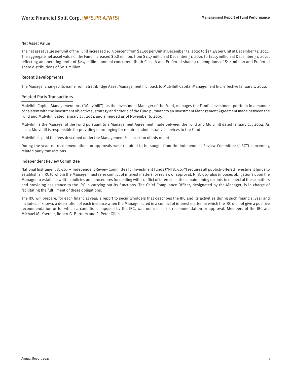# Net Asset Value

The net asset value per Unit of the Fund increased 16.3 percent from \$11.55 per Unit at December 31, 2020 to \$13.43 per Unit at December 31, 2021. The aggregate net asset value of the Fund increased \$0.8 million, from \$11.7 million at December 31, 2020 to \$12.5 million at December 31, 2021, reflecting an operating profit of \$2.4 million, annual concurrent (both Class A and Preferred shares) redemptions of \$1.1 million and Preferred share distributions of \$0.5 million.

# Recent Developments

The Manager changed its name from Strathbridge Asset Management Inc. back to Mulvihill Capital Management Inc. effective January 1, 2022.

# Related Party Transactions

Mulvihill Capital Management Inc. ("Mulvihill"), as the Investment Manager of the Fund, manages the Fund's investment portfolio in a manner consistent with the investment objectives, strategy and criteria of the Fund pursuant to an Investment Management Agreement made between the Fund and Mulvihill dated January 27, 2004 and amended as of November 6, 2009.

Mulvihill is the Manager of the Fund pursuant to a Management Agreement made between the Fund and Mulvihill dated January 27, 2004. As such, Mulvihill is responsible for providing or arranging for required administrative services to the Fund.

Mulvihill is paid the fees described under the Management Fees section of this report.

During the year, no recommendations or approvals were required to be sought from the Independent Review Committee ("IRC") concerning related party transactions.

## Independent Review Committee

National Instrument 81-107 – Independent Review Committee for Investment Funds ("NI 81-107") requires all publicly offered investment funds to establish an IRC to whom the Manager must refer conflict of interest matters for review or approval. NI 81-107 also imposes obligations upon the Manager to establish written policies and procedures for dealing with conflict of interest matters, maintaining records in respect of these matters and providing assistance to the IRC in carrying out its functions. The Chief Compliance Officer, designated by the Manager, is in charge of facilitating the fulfillment of these obligations.

The IRC will prepare, for each financial year, a report to securityholders that describes the IRC and its activities during such financial year and includes, if known, a description of each instance when the Manager acted in a conflict of interest matter for which the IRC did not give a positive recommendation or for which a condition, imposed by the IRC, was not met in its recommendation or approval. Members of the IRC are Michael M. Koerner, Robert G. Bertram and R. Peter Gillin.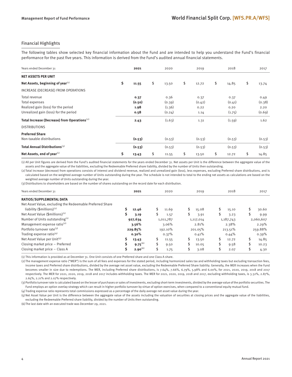# Financial Highlights

The following tables show selected key financial information about the Fund and are intended to help you understand the Fund's financial performance for the past five years. This information is derived from the Fund's audited annual financial statements.

| Years ended December 31                                                                                         | 2021                           | 2020                               | 2019                           | 2018                             | 2017                             |
|-----------------------------------------------------------------------------------------------------------------|--------------------------------|------------------------------------|--------------------------------|----------------------------------|----------------------------------|
| <b>NET ASSETS PER UNIT</b>                                                                                      |                                |                                    |                                |                                  |                                  |
| Net Assets, beginning of year $(1)$                                                                             | \$<br>11.55                    | \$<br>13.50                        | \$<br>12.72                    | \$<br>14.85                      | \$<br>13.74                      |
| INCREASE (DECREASE) FROM OPERATIONS                                                                             |                                |                                    |                                |                                  |                                  |
| Total revenue<br>Total expenses<br>Realized gain (loss) for the period<br>Unrealized gain (loss) for the period | 0.37<br>(0.50)<br>1.98<br>0.58 | 0.36<br>(0.39)<br>(1.36)<br>(0.24) | 0.37<br>(0.42)<br>0.22<br>1.14 | 0.37<br>(0.41)<br>0.20<br>(1.75) | 0.49<br>(0.38)<br>2.20<br>(0.69) |
| Total Increase (Decrease) from Operations <sup>(2)</sup><br><b>DISTRIBUTIONS</b>                                | 2.43                           | (1.63)                             | 1.31                           | (1.59)                           | 1.62                             |
| <b>Preferred Share</b><br>Non-taxable distributions                                                             | (0.53)                         | (0.53)                             | (0.53)                         | (0.53)                           | (0.53)                           |
| Total Annual Distributions <sup>(3)</sup>                                                                       | (0.53)                         | (0.53)                             | (0.53)                         | (0.53)                           | (0.53)                           |
| Net Assets, end of year <sup>(1)</sup>                                                                          | \$<br>13.43                    | \$<br>11.55                        | \$<br>13.50                    | \$<br>12.72                      | \$<br>14.85                      |

(1) All per Unit figures are derived from the Fund's audited financial statements for the years ended December 31. Net assets per Unit is the difference between the aggregate value of the assets and the aggregate value of the liabilities, excluding the Redeemable Preferred share liability, divided by the number of Units then outstanding.

(2)Total increase (decrease) from operations consists of interest and dividend revenue, realized and unrealized gain (loss), less expenses, excluding Preferred share distributions, and is calculated based on the weighted average number of Units outstanding during the year. The schedule is not intended to total to the ending net assets as calculations are based on the weighted average number of Units outstanding during the year.

(3) Distributions to shareholders are based on the number of shares outstanding on the record date for each distribution.

| Years ended December 31                                   |   | 2021         | 2020      | 2019        | 2018        |    | 2017      |
|-----------------------------------------------------------|---|--------------|-----------|-------------|-------------|----|-----------|
| RATIOS/SUPPLEMENTAL DATA                                  |   |              |           |             |             |    |           |
| Net Asset Value, excluding the Redeemable Preferred Share |   |              |           |             |             |    |           |
| liability $(\text{5}$ millions) <sup>(1)</sup>            |   | 12.46        | 11.69     | 15.08       | \$<br>15.10 | S  | 30.60     |
| Net Asset Value $(\text{5}$ millions) $^{(1)}$            | S | 3.19         | 1.57      | \$<br>3.91  | \$<br>3.23  | \$ | 9.99      |
| Number of Units outstanding $(1)$                         |   | 927,634      | 1,011,787 | 1,117,014   | 1,187,743   |    | 2,060,607 |
| Management expense ratio <sup>(2)</sup>                   |   | 3.56%        | 3.06%     | 2.81%       | 2.38%       |    | 2.29%     |
| Portfolio turnover rate <sup>(3)</sup>                    |   | 229.85%      | 192.10%   | 201.05%     | 213.51%     |    | 259.88%   |
| Trading expense ratio $^{(4)}$                            |   | 0.30%        | 0.37%     | 0.41%       | $0.44\%$    |    | 0.39%     |
| Net Asset Value per Unit <sup>(5)</sup>                   |   | 13.43        | 11.55     | \$<br>13.50 | \$<br>12.72 |    | 14.85     |
| Closing market price - Preferred                          |   | $9.75^{(6)}$ | 9.50      | \$<br>10.05 | \$<br>9.58  |    | 10.23     |
| Closing market price - Class A                            | S | $2.90^{(6)}$ | 1.75      | \$<br>3.08  | \$<br>2.07  |    | 4.30      |

(1) This information is provided as at December 31. One Unit consists of one Preferred share and one Class A share.

(2)The management expense ratio ("MER") is the sum of all fees and expenses for the stated period, including harmonized sales tax and withholding taxes but excluding transaction fees, income taxes and Preferred share distributions, divided by the average net asset value, excluding the Redeemable Preferred Share liability. Generally, the MER increases when the Fund becomes smaller in size due to redemptions. The MER, including Preferred share distributions, is 7.64%, 7.66%, 6.79%, 5.98% and 6.00%, for 2021, 2020, 2019, 2018 and 2017 respectively. The MER for 2021, 2020, 2019, 2018 and 2017 includes withholding taxes. The MER for 2021, 2020, 2019, 2018 and 2017, excluding withholding taxes, is 3.32%, 2.87%, 2.65%, 2.21% and 2.07% respectively.

(3) Portfolio turnover rate is calculated based on the lesser of purchases or sales of investments, excluding short-term investments, divided by the average value of the portfolio securities. The Fund employs an option overlay strategy which can result in higher portfolio turnover by virtue of option exercises, when compared to a conventional equity mutual fund. (4)Trading expense ratio represents total commissions expressed as a percentage of the daily average net asset value during the year.

(5) Net Asset Value per Unit is the difference between the aggregate value of the assets including the valuation of securities at closing prices and the aggregate value of the liabilities, excluding the Redeemable Preferred share liability, divided by the number of Units then outstanding.

(6)The last date with an executed trade was December 29, 2021.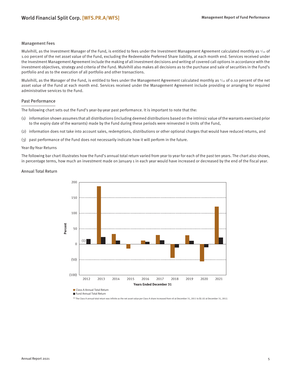# Management Fees

Mulvihill, as the Investment Manager of the Fund, is entitled to fees under the Investment Management Agreement calculated monthly as 1/12 of 1.00 percent of the net asset value of the Fund, excluding the Redeemable Preferred Share liability, at each month end. Services received under the Investment Management Agreement include the making of all investment decisions and writing of covered call options in accordance with the investment objectives, strategy and criteria of the Fund. Mulvihill also makes all decisions as to the purchase and sale of securities in the Fund's portfolio and as to the execution of all portfolio and other transactions.

Mulvihill, as the Manager of the Fund, is entitled to fees under the Management Agreement calculated monthly as 1/12 of 0.10 percent of the net asset value of the Fund at each month end. Services received under the Management Agreement include providing or arranging for required administrative services to the Fund.

# Past Performance

The following chart sets out the Fund's year-by-year past performance. It is important to note that the:

- (1) information shown assumes that all distributions (including deemed distributions based on the intrinsic value of the warrants exercised prior to the expiry date of the warrants) made by the Fund during these periods were reinvested in Units of the Fund,
- (2) information does not take into account sales, redemptions, distributions or other optional charges that would have reduced returns, and
- (3) past performance of the Fund does not necessarily indicate how it will perform in the future.

#### Year-By-Year Returns

The following bar chart illustrates how the Fund's annual total return varied from year to year for each of the past ten years. The chart also shows, in percentage terms, how much an investment made on January 1 in each year would have increased or decreased by the end of the fiscal year.

# Annual Total Return



(1) The Class A annual total return was infinite as the net asset value per Class A share increased from nil at December 31, 2011 to \$1.02 at December 31, 2012.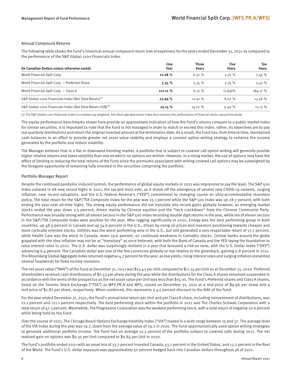# Annual Compound Returns

The following table shows the Fund's historical annual compound return (net of expenses) for the years ended December 31, 2021 as compared to the performance of the S&P Global 1200 Financials Index.

| (In Canadian Dollars unless otherwise noted)                            | One<br>Year | Three<br>Years | <b>Five</b><br>Years | Ten<br>Years |
|-------------------------------------------------------------------------|-------------|----------------|----------------------|--------------|
| World Financial Split Corp.                                             | 21.08 %     | 6.32%          | 3.70%                | 7.45%        |
| World Financial Split Corp. - Preferred Share                           | 5.35%       | 5.35%          | 5.35%                | 5.43%        |
| World Financial Split Corp. - Class A                                   | 121.12%     | $8.12 \%$      | $(1.69)\%$           | 184.17 %     |
| S&P Global 1200 Financials Index (Net Total Return) <sup>(1)</sup>      | 23.99%      | 11.91 %        | 8.07%                | 13.58 %      |
| S&P Global 1200 Financials Index (Net Total Return US\$) <sup>(1)</sup> | 25.15%      | 14.72 %        | 9.40%                | 11.13%       |

(1) The S&P Global 1200 Financials Index is a market-cap weighted, free float adjusted sector index that monitors the performance of financial stocks around the world.

The equity performance benchmarks shown here provide an approximate indication of how the Fund's returns compare to a public market index for similar securities. It is important to note that the Fund is not managed in order to match or exceed this index; rather, its objectives are to pay out quarterly distributions and return the original invested amount at the termination date. As a result, the Fund has, from time to time, maintained cash balances in an effort to provide greater net asset value stability and employs a covered option writing strategy to enhance the income generated by the portfolio and reduce volatility.

The Manager believes that in a flat or downward trending market, a portfolio that is subject to covered call option writing will generally provide higher relative returns and lower volatility than one on which no options are written. However, in a rising market, the use of options may have the effect of limiting or reducing the total returns of the Fund since the premiums associated with writing covered call options may be outweighed by the foregone opportunity of remaining fully invested in the securities comprising the portfolio.

# Portfolio Manager Report

Despite the continued pandemic induced turmoil, the performance of global equity markets in 2021 was impressive to say the least. The S&P 500 Index ushered in 68 new record highs in 2021, the second most ever, as it shook off the emergence of several new COVID-19 variants, surging inflation, near record valuations, and the U.S. Federal Reserve's ("FED") commitment to changing course on ultra-accommodative monetary policy. The total return for the S&P/TSX Composite Index for the year was 25.1 percent while the S&P 500 Index was up 28.7 percent, with both ending the year near all-time highs. The strong equity performance did not translate into record gains globally however, as emerging market stocks ended the year down 2.5 percent, driven mainly by Chinese equities and the "tech crackdown" from the Chinese Communist Party. Performance was broadly strong with all eleven sectors in the S&P 500 Index recording double digit returns in the year, while ten of eleven sectors in the S&P/TSX Composite Index were positive for the year. After lagging significantly in 2020, Energy was the best performing group in both countries, up 48.9 percent in Canada and up 54.6 percent in the U.S., driven by rising oil prices and investors positioning towards cheaper and more cyclically oriented stocks. Utilities was the worst performing area in the U.S., but still generated a very respectable return of 17.7 percent, while Health Care was the worst in Canada, down 19.6 percent, on continued weakness in Cannabis stocks. Central banks around the globe grappled with the idea inflation may not be as "transitory" as once believed, with both the Bank of Canada and the FED laying the foundation to raise interest rates in 2022. The U.S. dollar was surprisingly resilient in a year that favoured a risk-on tone, with the U.S. Dollar Index ("DXY") advancing 6.4 percent. The Canadian dollar was one of the few currencies globally to rise relative to the greenback, gaining 0.8 percent in 2021. The Bloomberg Global Aggregate Index returned negative 4.7 percent for the year, as low yields, rising interest rates and surging inflation presented several headwinds for fixed income investors.

The net asset value ("NAV") of the Fund at December 31, 2021 was \$13.43 per Unit compared to \$11.55 per Unit as at December 31, 2020. Preferred shareholders received cash distributions of \$0.53 per share during the year while the distributions for the Class A shares remained suspended in accordance with the terms of the prospectus as the net asset value per Unitwas less than \$15.00. The Fund's Preferred shares and Class A shares, listed on the Toronto Stock Exchange ("TSX") as WFS.PR.A and WFS, closed on December 31, 2021 at a mid-price of \$9.96 per share and a mid-price of \$2.87 per share, respectively. When combined, this represents a 4.5 percent discount to the NAV of the Fund.

For the year ended December 31, 2021, the Fund's annual total return per Unit and per Class A share, including reinvestment of distributions, was 21.1 percent and 121.1 percent respectively. The best performing stock within the portfolio in 2021 was The Charles Schwab Corporation with a total return of 47.3 percent. Meanwhile, The Progressive Corporation was the weakest performing stock, with a total return of negative 10.6 percent while being held by the Fund.

Over the course of 2021, The Chicago Board Options Exchange Volatility Index ("VIX") traded in a wide range between 15 and 37. The average level of the VIX Index during the year was 19.7, down from the average value of 29.2 in 2020. The Fund opportunistically used option writing strategies to generate additional portfolio income. The Fund had on average 10.5 percent of the portfolio subject to covered calls during 2021. The net realized gain on options was \$0.35 per Unit compared to \$0.84 per Unit in 2020.

The Fund's portfolio ended 2021 with an asset mix of 33.7 percent invested Canada, 53.1 percent in the United States, and 13.2 percent in the Rest of the World. The Fund's U.S. dollar exposure was approximately 50 percent hedged back into Canadian dollars throughout all of 2021.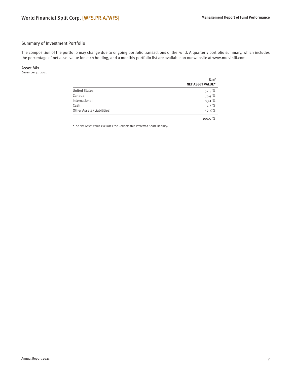# Summary of Investment Portfolio

The composition of the portfolio may change due to ongoing portfolio transactions of the Fund. A quarterly portfolio summary, which includes the percentage of net asset value for each holding, and a monthly portfolio list are available on our website at www.mulvihill.com.

## Asset Mix

December 31, 2021

|                            | $%$ of<br><b>NET ASSET VALUE*</b> |
|----------------------------|-----------------------------------|
| <b>United States</b>       | 52.5%                             |
| Canada                     | 33.4 %                            |
| International              | 13.1 %                            |
| Cash                       | $1.7\%$                           |
| Other Assets (Liabilities) | (0.7)%                            |

100.0 %

\*The Net Asset Value excludes the Redeemable Preferred Share liability.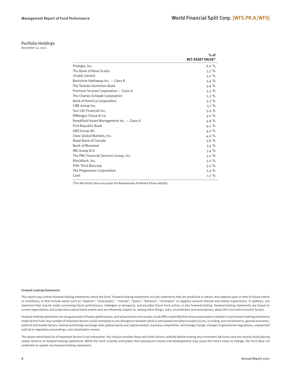**% of**

Portfolio Holdings December 31, 2021

|                                            | 70 UI<br><b>NET ASSET VALUE*</b> |
|--------------------------------------------|----------------------------------|
| Prologis, Inc.                             | 6.0 $%$                          |
| The Bank of Nova Scotia                    | 5.7%                             |
| Chubb Limited                              | $5.5\%$                          |
| Berkshire Hathaway Inc. - Class B          | $5.4 \%$                         |
| The Toronto-Dominion Bank                  | $5.4 \%$                         |
| Premium Income Corporation - Class A       | 5.3%                             |
| The Charles Schwab Corporation             | 5.3%                             |
| <b>Bank of America Corporation</b>         | 5.2%                             |
| CME Group Inc.                             | 5.1%                             |
| Sun Life Financial Inc.                    | 5.0%                             |
| JPMorgan Chase & Co.                       | 5.0%                             |
| Brookfield Asset Management Inc. - Class A | 4.9 $%$                          |
| First Republic Bank                        | $4.2 \%$                         |
| <b>UBS Group AG</b>                        | 4.2%                             |
| Cboe Global Markets, Inc.                  | 4.0 $%$                          |
| Royal Bank of Canada                       | 3.6%                             |
| <b>Bank of Montreal</b>                    | $3.5\%$                          |
| ING Groep N.V.                             | $3.4\%$                          |
| The PNC Financial Services Group, Inc.     | 3.2%                             |
| BlackRock, Inc.                            | 3.2%                             |
| Fifth Third Bancorp                        | 3.0%                             |
| The Progressive Corporation                | 2.9%                             |
| Cash                                       | $1.7\%$                          |

\*The Net Asset Value excludes the Redeemable Preferred Share liability.

#### Forward-Looking Statements

This report may contain forward-looking statements about the Fund. Forward-looking statements include statements that are predictive in nature, that depend upon or refer to future events or conditions, or that include words such as "expects", "anticipates", "intends", "plans", "believes", "estimates" or negative versions thereof and similar expressions. In addition, any statement that may be made concerning future performance, strategies or prospects, and possible future Fund action, is also forward-looking. Forward-looking statements are based on current expectations and projections about future events and are inherently subject to, among other things, risks, uncertainties and assumptions about the Fund and economic factors.

Forward-looking statements are not guarantees of future performance, and actual events and results could differ materially from those expressed or implied in any forward-looking statements made by the Fund. Any number of important factors could contribute to any divergence between what is anticipated and what actually occurs, including, but not limited to, general economic, political and market factors, interest and foreign exchange rates, global equity and capital markets, business competition, technology change, changes in government regulations, unexpected judicial or regulatory proceedings, and catastrophic events.

The above-mentioned list of important factors is not exhaustive. You should consider these and other factors carefully before making any investment decisions and you should avoid placing undue reliance on forward-looking statements. While the Fund currently anticipates that subsequent events and developments may cause the Fund's views to change, the Fund does not undertake to update any forward-looking statements.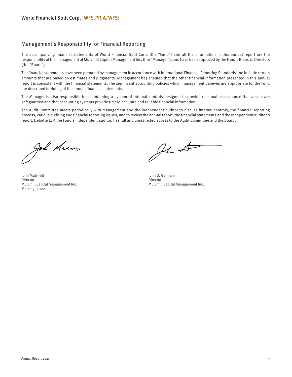# Management's Responsibility for Financial Reporting

The accompanying financial statements of World Financial Split Corp. (the "Fund") and all the information in this annual report are the responsibility of the management of Mulvihill Capital Management Inc. (the "Manager"), and have been approved by the Fund's Board of Directors (the "Board").

The financial statements have been prepared by management in accordance with International Financial Reporting Standards and include certain amounts that are based on estimates and judgments. Management has ensured that the other financial information presented in this annual report is consistent with the financial statements. The significant accounting policies which management believes are appropriate for the Fund are described in Note 3 of the annual financial statements.

The Manager is also responsible for maintaining a system of internal controls designed to provide reasonable assurance that assets are safeguarded and that accounting systems provide timely, accurate and reliable financial information.

The Audit Committee meets periodically with management and the independent auditor to discuss internal controls, the financial reporting process, various auditing and financial reporting issues, and to review the annual report, the financial statements and the independent auditor's report. Deloitte LLP, the Fund's independent auditor, has full and unrestricted access to the Audit Committee and the Board.

god Mum

John Mulvihill Director Mulvihill Capital Management Inc. March 3, 2022

 $94.45$ 

John D. Germain Director Mulvihill Capital Management Inc.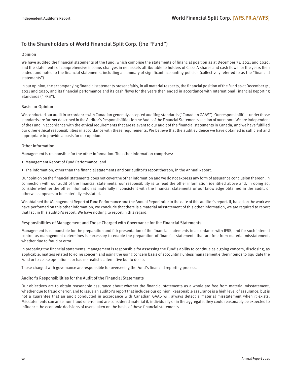# To the Shareholders of World Financial Split Corp. (the "Fund")

# Opinion

We have audited the financial statements of the Fund, which comprise the statements of financial position as at December 31, 2021 and 2020, and the statements of comprehensive income, changes in net assets attributable to holders of Class A shares and cash flows for the years then ended, and notes to the financial statements, including a summary of significant accounting policies (collectively referred to as the "financial statements").

In our opinion, the accompanying financial statements present fairly, in all material respects, the financial position of the Fund as at December 31, 2021 and 2020, and its financial performance and its cash flows for the years then ended in accordance with International Financial Reporting Standards ("IFRS").

# Basis for Opinion

We conducted our audit in accordance with Canadian generally accepted auditing standards ("Canadian GAAS"). Our responsibilities under those standards are further described in the Auditor's Responsibilities for the Audit of the Financial Statements section of our report. We are independent of the Fund in accordance with the ethical requirements that are relevant to our audit of the financial statements in Canada, and we have fulfilled our other ethical responsibilities in accordance with these requirements. We believe that the audit evidence we have obtained is sufficient and appropriate to provide a basis for our opinion.

# Other Information

Management is responsible for the other information. The other information comprises:

- Management Report of Fund Performance; and
- The information, other than the financial statements and our auditor's report thereon, in the Annual Report.

Our opinion on the financial statements does not cover the other information and we do not express any form of assurance conclusion thereon. In connection with our audit of the financial statements, our responsibility is to read the other information identified above and, in doing so, consider whether the other information is materially inconsistent with the financial statements or our knowledge obtained in the audit, or otherwise appears to be materially misstated.

We obtained the Management Report of Fund Performance and the Annual Report prior to the date of this auditor's report. If, based on the work we have performed on this other information, we conclude that there is a material misstatement of this other information, we are required to report that fact in this auditor's report. We have nothing to report in this regard.

## Responsibilities of Management and Those Charged with Governance for the Financial Statements

Management is responsible for the preparation and fair presentation of the financial statements in accordance with IFRS, and for such internal control as management determines is necessary to enable the preparation of financial statements that are free from material misstatement, whether due to fraud or error.

In preparing the financial statements, management is responsible for assessing the Fund's ability to continue as a going concern, disclosing, as applicable, matters related to going concern and using the going concern basis of accounting unless management either intends to liquidate the Fund or to cease operations, or has no realistic alternative but to do so.

Those charged with governance are responsible for overseeing the Fund's financial reporting process.

## Auditor's Responsibilities for the Audit of the Financial Statements

Our objectives are to obtain reasonable assurance about whether the financial statements as a whole are free from material misstatement, whether due to fraud or error, and to issue an auditor's report that includes our opinion. Reasonable assurance is a high level of assurance, but is not a guarantee that an audit conducted in accordance with Canadian GAAS will always detect a material misstatement when it exists. Misstatements can arise from fraud or error and are considered material if, individually or in the aggregate, they could reasonably be expected to influence the economic decisions of users taken on the basis of these financial statements.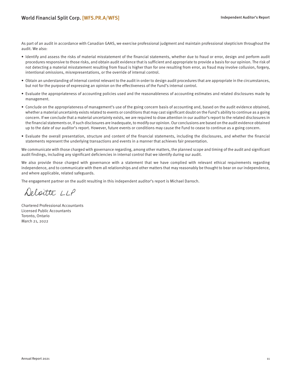As part of an audit in accordance with Canadian GAAS, we exercise professional judgment and maintain professional skepticism throughout the audit. We also:

- Identify and assess the risks of material misstatement of the financial statements, whether due to fraud or error, design and perform audit procedures responsive to those risks, and obtain audit evidence that is sufficient and appropriate to provide a basis for our opinion. The risk of not detecting a material misstatement resulting from fraud is higher than for one resulting from error, as fraud may involve collusion, forgery, intentional omissions, misrepresentations, or the override of internal control.
- Obtain an understanding of internal control relevant to the audit in order to design audit procedures that are appropriate in the circumstances, but not for the purpose of expressing an opinion on the effectiveness of the Fund's internal control.
- Evaluate the appropriateness of accounting policies used and the reasonableness of accounting estimates and related disclosures made by management.
- Conclude on the appropriateness of management's use of the going concern basis of accounting and, based on the audit evidence obtained, whether a material uncertainty exists related to events or conditions that may cast significant doubt on the Fund's ability to continue as a going concern. If we conclude that a material uncertainty exists, we are required to draw attention in our auditor's report to the related disclosures in the financial statements or, if such disclosures are inadequate, to modify our opinion. Our conclusions are based on the audit evidence obtained up to the date of our auditor's report. However, future events or conditions may cause the Fund to cease to continue as a going concern.
- Evaluate the overall presentation, structure and content of the financial statements, including the disclosures, and whether the financial statements represent the underlying transactions and events in a manner that achieves fair presentation.

We communicate with those charged with governance regarding, among other matters, the planned scope and timing of the audit and significant audit findings, including any significant deficiencies in internal control that we identify during our audit.

We also provide those charged with governance with a statement that we have complied with relevant ethical requirements regarding independence, and to communicate with them all relationships and other matters that may reasonably be thought to bear on our independence, and where applicable, related safeguards.

The engagement partner on the audit resulting in this independent auditor's report is Michael Darroch.

Deloitte LLP

Chartered Professional Accountants Licensed Public Accountants Toronto, Ontario March 21, 2022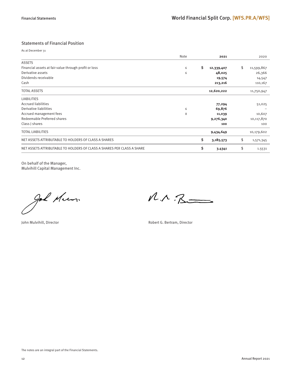# Statements of Financial Position

As at December 31

|                                                                        | Note | 2021             | 2020             |
|------------------------------------------------------------------------|------|------------------|------------------|
| <b>ASSETS</b>                                                          |      |                  |                  |
| Financial assets at fair value through profit or loss                  | 6    | \$<br>12,339,407 | \$<br>11,599,867 |
| Derivative assets                                                      | 6    | 48,025           | 26,366           |
| Dividends receivable                                                   |      | 19,574           | 14,547           |
| Cash                                                                   |      | 213,216          | 110,167          |
| <b>TOTAL ASSETS</b>                                                    |      | 12,620,222       | 11,750,947       |
| <b>LIABILITIES</b>                                                     |      |                  |                  |
| <b>Accrued liabilities</b>                                             |      | 77,294           | 51,025           |
| Derivative liabilities                                                 | 6    | 69,876           |                  |
| Accrued management fees                                                | 8    | 11,039           | 10,607           |
| Redeemable Preferred shares                                            |      | 9,276,340        | 10,117,870       |
| Class J shares                                                         |      | 100              | 100              |
| <b>TOTAL LIABILITIES</b>                                               |      | 9,434,649        | 10,179,602       |
| NET ASSETS ATTRIBUTABLE TO HOLDERS OF CLASS A SHARES                   |      | \$<br>3,185,573  | \$<br>1,571,345  |
| NET ASSETS ATTRIBUTABLE TO HOLDERS OF CLASS A SHARES PER CLASS A SHARE |      | \$<br>3.4341     | \$<br>1.5531     |

On behalf of the Manager, Mulvihill Capital Management Inc.

god Mum

 $M \wedge R$ 

John Mulvihill, Director **Mulvitial**, Circuit C. Bertram, Director Robert G. Bertram, Director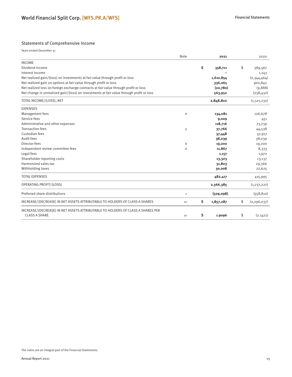# Statements of Comprehensive Income

Years ended December 31

|                                                                                          | Note           | 2021            | 2020                |
|------------------------------------------------------------------------------------------|----------------|-----------------|---------------------|
| <b>INCOME</b>                                                                            |                |                 |                     |
| Dividend income                                                                          |                | \$<br>358,711   | \$<br>389,567       |
| Interest income                                                                          |                |                 | 1,143               |
| Net realized gain/(loss) on investments at fair value through profit or loss             |                | 1,610,854       | (2,344,464)         |
| Net realized gain on options at fair value through profit or loss                        |                | 336,065         | 900,842             |
| Net realized loss on foreign exchange contracts at fair value through profit or loss     |                | (20, 780)       | (9,888)             |
| Net change in unrealized gain/(loss) on investments at fair value through profit or loss |                | 563,952         | (258, 432)          |
| TOTAL INCOME/(LOSS), NET                                                                 |                | 2,848,802       | (1, 321, 232)       |
| <b>EXPENSES</b>                                                                          |                |                 |                     |
| Management fees                                                                          | 8              | 134,081         | 126,678             |
| Service fees                                                                             |                | 9,009           | 451                 |
| Administrative and other expenses                                                        |                | 118,716         | 73,739              |
| <b>Transaction fees</b>                                                                  | 9              | 37,766          | 44,538              |
| Custodian fees                                                                           |                | 37,448          | 37,917              |
| Audit fees                                                                               |                | 38,039          | 38,039              |
| Director fees                                                                            | 8              | 19,200          | 19,200              |
| Independent review committee fees                                                        | 8              | 11,867          | 8,333               |
| Legal fees                                                                               |                | 1,157           | 1,972               |
| Shareholder reporting costs                                                              |                | 13,323          | 13,137              |
| Harmonized sales tax                                                                     |                | 31,803          | 29,366              |
| Withholding taxes                                                                        |                | 30,008          | 22,625              |
| <b>TOTAL EXPENSES</b>                                                                    |                | 482,417         | 415,995             |
| OPERATING PROFIT/(LOSS)                                                                  |                | 2,366,385       | (1,737,227)         |
| Preferred share distributions                                                            | $\overline{7}$ | (509, 098)      | (558, 810)          |
| INCREASE/(DECREASE) IN NET ASSETS ATTRIBUTABLE TO HOLDERS OF CLASS A SHARES              | 10             | \$<br>1,857,287 | \$<br>(2, 296, 037) |
| INCREASE/(DECREASE) IN NET ASSETS ATTRIBUTABLE TO HOLDERS OF CLASS A SHARES PER          |                |                 |                     |
| <b>CLASS A SHARE</b>                                                                     | 10             | \$<br>1.9096    | \$<br>(2.1421)      |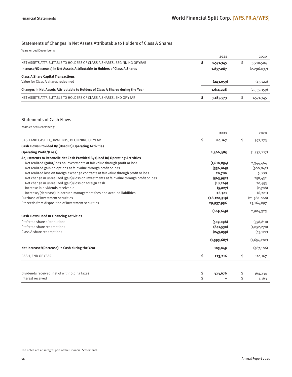# Statements of Changes in Net Assets Attributable to Holders of Class A Shares

Years ended December 31

|                                                                                 | 2021      | 2020            |
|---------------------------------------------------------------------------------|-----------|-----------------|
| NET ASSETS ATTRIBUTABLE TO HOLDERS OF CLASS A SHARES, BEGINNING OF YEAR         | 1,571,345 | \$<br>3,910,504 |
| Increase/(Decrease) in Net Assets Attributable to Holders of Class A Shares     | 1,857,287 | (2, 296, 037)   |
| <b>Class A Share Capital Transactions</b>                                       |           |                 |
| Value for Class A shares redeemed                                               | (243,059) | (43, 122)       |
| Changes in Net Assets Attributable to Holders of Class A Shares during the Year | 1,614,228 | (2,339,159)     |
| NET ASSETS ATTRIBUTABLE TO HOLDERS OF CLASS A SHARES, END OF YEAR               | 3,185,573 | \$<br>1,571,345 |

# Statements of Cash Flows

Years ended December 31

|                                                                                          | 2021           | 2020          |
|------------------------------------------------------------------------------------------|----------------|---------------|
| CASH AND CASH EQUIVALENTS, BEGINNING OF YEAR                                             | \$<br>110,167  | \$<br>597,273 |
| <b>Cash Flows Provided By (Used In) Operating Activities</b>                             |                |               |
| <b>Operating Profit/(Loss)</b>                                                           | 2,366,385      | (1,737,227)   |
| Adjustments to Reconcile Net Cash Provided By (Used In) Operating Activities             |                |               |
| Net realized (gain)/loss on investments at fair value through profit or loss             | (1,610,854)    | 2,344,464     |
| Net realized gain on options at fair value through profit or loss                        | (336,065)      | (900, 842)    |
| Net realized loss on foreign exchange contracts at fair value through profit or loss     | 20,780         | 9,888         |
| Net change in unrealized (gain)/loss on investments at fair value through profit or loss | (563, 952)     | 258,432       |
| Net change in unrealized (gain)/loss on foreign cash                                     | (18, 269)      | 20,453        |
| Increase in dividends receivable                                                         | (5,027)        | (2,708)       |
| Increase/(decrease) in accrued management fees and accrued liabilities                   | 26,701         | (6, 201)      |
| Purchase of investment securities                                                        | (28, 120, 919) | (21,984,060)  |
| Proceeds from disposition of investment securities                                       | 29,937,956     | 23,164,897    |
|                                                                                          | (669, 649)     | 2,904,323     |
| <b>Cash Flows Used In Financing Activities</b>                                           |                |               |
| Preferred share distributions                                                            | (509, 098)     | (558, 810)    |
| Preferred share redemptions                                                              | (841,530)      | (1,052,270)   |
| Class A share redemptions                                                                | (243,059)      | (43, 122)     |
|                                                                                          | (1,593,687)    | (1,654,202)   |
| Net Increase/(Decrease) in Cash during the Year                                          | 103,049        | (487, 106)    |
| CASH, END OF YEAR                                                                        | \$<br>213,216  | \$<br>110,167 |
|                                                                                          |                |               |
| Dividends received, net of withholding taxes                                             | \$<br>323,676  | \$<br>364,234 |
| Interest received                                                                        | \$             | \$<br>1,163   |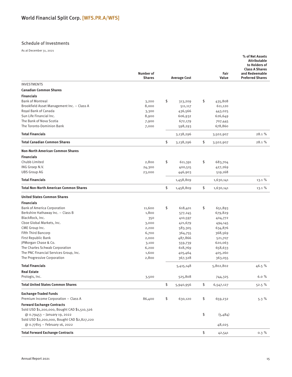# Schedule of Investments

As at December 31, 2021

|                                                                                   | Number of<br><b>Shares</b> | <b>Average Cost</b> | Fair<br>Value   | % of Net Assets<br><b>Attributable</b><br>to Holders of<br><b>Class A Shares</b><br>and Redeemable<br><b>Preferred Shares</b> |
|-----------------------------------------------------------------------------------|----------------------------|---------------------|-----------------|-------------------------------------------------------------------------------------------------------------------------------|
| <b>INVESTMENTS</b>                                                                |                            |                     |                 |                                                                                                                               |
| <b>Canadian Common Shares</b>                                                     |                            |                     |                 |                                                                                                                               |
| <b>Financials</b>                                                                 |                            |                     |                 |                                                                                                                               |
| <b>Bank of Montreal</b>                                                           | 3,200                      | \$<br>313,209       | \$<br>435,808   |                                                                                                                               |
| Brookfield Asset Management Inc. - Class A                                        | 8,000                      | 511,117             | 611,120         |                                                                                                                               |
| Royal Bank of Canada                                                              | 3,300                      | 436,566             | 443,025         |                                                                                                                               |
| Sun Life Financial Inc.                                                           | 8,900                      | 606,932             | 626,649         |                                                                                                                               |
| The Bank of Nova Scotia                                                           | 7,900                      | 672,179             | 707,445         |                                                                                                                               |
| The Toronto-Dominion Bank                                                         | 7,000                      | 598,293             | 678,860         |                                                                                                                               |
| <b>Total Financials</b>                                                           |                            | 3,138,296           | 3,502,907       | 28.1%                                                                                                                         |
| <b>Total Canadian Common Shares</b>                                               |                            | \$<br>3,138,296     | \$<br>3,502,907 | 28.1%                                                                                                                         |
| <b>Non-North American Common Shares</b>                                           |                            |                     |                 |                                                                                                                               |
| <b>Financials</b>                                                                 |                            |                     |                 |                                                                                                                               |
| Chubb Limited                                                                     | 2,800                      | \$<br>611,391       | \$<br>683,704   |                                                                                                                               |
| ING Groep N.V.                                                                    | 24,300                     | 400,515             | 427,269         |                                                                                                                               |
| <b>UBS Group AG</b>                                                               | 23,000                     | 446,903             | 519,168         |                                                                                                                               |
| <b>Total Financials</b>                                                           |                            | 1,458,809           | 1,630,141       | 13.1 %                                                                                                                        |
| <b>Total Non-North American Common Shares</b>                                     |                            | \$<br>1,458,809     | \$<br>1,630,141 | 13.1 %                                                                                                                        |
| <b>United States Common Shares</b>                                                |                            |                     |                 |                                                                                                                               |
| <b>Financials</b>                                                                 |                            |                     |                 |                                                                                                                               |
| <b>Bank of America Corporation</b>                                                | 11,600                     | \$<br>618,401       | \$<br>651,893   |                                                                                                                               |
| Berkshire Hathaway Inc. - Class B                                                 | 1,800                      | 577,245             | 679,829         |                                                                                                                               |
| BlackRock, Inc.                                                                   | 350                        | 410,597             | 404,772         |                                                                                                                               |
| Cboe Global Markets, Inc.                                                         | 3,000                      | 421,679             | 494,145         |                                                                                                                               |
| CME Group Inc.                                                                    | 2,200                      | 583,305             | 634,876         |                                                                                                                               |
| Fifth Third Bancorp                                                               | 6,700                      | 364,755             | 368,569         |                                                                                                                               |
| First Republic Bank                                                               | 2,000                      | 487,866             | 521,707         |                                                                                                                               |
| JPMorgan Chase & Co.                                                              | 3,100                      | 559,739             | 620,063         |                                                                                                                               |
| The Charles Schwab Corporation                                                    | 6,200                      | 618,769             | 658,633         |                                                                                                                               |
| The PNC Financial Services Group, Inc.                                            | 1,600                      | 405,464             | 405,260         |                                                                                                                               |
| The Progressive Corporation                                                       | 2,800                      | 367,328             | 363,055         |                                                                                                                               |
| <b>Total Financials</b>                                                           |                            | 5,415,148           | 5,802,802       | 46.5 %                                                                                                                        |
| <b>Real Estate</b>                                                                |                            |                     |                 |                                                                                                                               |
| Prologis, Inc.                                                                    | 3,500                      | 525,808             | 744,325         | 6.0%                                                                                                                          |
| <b>Total United States Common Shares</b>                                          |                            | \$<br>5,940,956     | \$<br>6,547,127 | 52.5 %                                                                                                                        |
| <b>Exchange-Traded Funds</b>                                                      |                            |                     |                 |                                                                                                                               |
| Premium Income Corporation - Class A                                              | 86,400                     | \$<br>630,120       | \$<br>659,232   | 5.3%                                                                                                                          |
| <b>Forward Exchange Contracts</b><br>Sold USD \$1,200,000, Bought CAD \$1,510,326 |                            |                     |                 |                                                                                                                               |
| @ 0.79453 - January 19, 2022                                                      |                            |                     | \$              |                                                                                                                               |
| Sold USD \$2,200,000, Bought CAD \$2,827,220                                      |                            |                     | (5,484)         |                                                                                                                               |
| @ 0.77815 - February 16, 2022                                                     |                            |                     | 48,025          |                                                                                                                               |
| <b>Total Forward Exchange Contracts</b>                                           |                            |                     | \$<br>42,541    | 0.3%                                                                                                                          |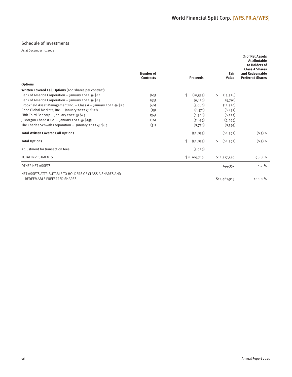# Schedule of Investments

As at December 31, 2021

|                                                                  | Number of<br><b>Contracts</b> | <b>Proceeds</b> |           | Fair<br>Value   | % of Net Assets<br><b>Attributable</b><br>to Holders of<br><b>Class A Shares</b><br>and Redeemable<br><b>Preferred Shares</b> |
|------------------------------------------------------------------|-------------------------------|-----------------|-----------|-----------------|-------------------------------------------------------------------------------------------------------------------------------|
| <b>Options</b>                                                   |                               |                 |           |                 |                                                                                                                               |
| Written Covered Call Options (100 shares per contract)           |                               |                 |           |                 |                                                                                                                               |
| Bank of America Corporation - January 2022 @ \$44                | (63)                          | \$              | (10, 533) | \$<br>(13,528)  |                                                                                                                               |
| Bank of America Corporation - January 2022 @ \$45                | (53)                          |                 | (9, 126)  | (5,791)         |                                                                                                                               |
| Brookfield Asset Management Inc. - Class A - January 2022 @ \$74 | (40)                          |                 | (5,680)   | (12, 320)       |                                                                                                                               |
| Choe Global Markets, Inc. - January 2022 @ \$128                 | (15)                          |                 | (6, 571)  | (8,432)         |                                                                                                                               |
| Fifth Third Bancorp - January 2022 @ \$43                        | (34)                          |                 | (4,308)   | (6, 227)        |                                                                                                                               |
| JPMorgan Chase & Co. - January 2022 @ \$155                      | (16)                          |                 | (7,839)   | (9,499)         |                                                                                                                               |
| The Charles Schwab Corporation - January 2022 @ \$84             | (31)                          |                 | (8,776)   | (8, 595)        |                                                                                                                               |
| <b>Total Written Covered Call Options</b>                        |                               |                 | (52, 833) | (64, 392)       | $(0.5)\%$                                                                                                                     |
| <b>Total Options</b>                                             |                               | \$              | (52, 833) | \$<br>(64, 392) | $(0.5)\%$                                                                                                                     |
| Adjustment for transaction fees                                  |                               |                 | (5,629)   |                 |                                                                                                                               |
| <b>TOTAL INVESTMENTS</b>                                         |                               | \$11,109,719    |           | \$12,317,556    | 98.8%                                                                                                                         |
| OTHER NET ASSETS                                                 |                               |                 |           | 144,357         | $1.2 \%$                                                                                                                      |
| NET ASSETS ATTRIBUTABLE TO HOLDERS OF CLASS A SHARES AND         |                               |                 |           |                 |                                                                                                                               |
| REDEEMABLE PREFERRED SHARES                                      |                               |                 |           | \$12,461,913    | 100.0 %                                                                                                                       |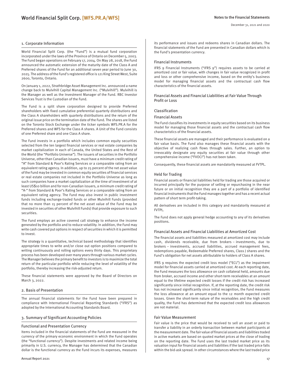#### 1. Corporate Information

World Financial Split Corp. (the "Fund") is a mutual fund corporation incorporated under the laws of the Province of Ontario on December 5, 2003. The Fund began operations on February 17, 2004. On May 28, 2018, the Fund announced the automatic extension of the maturity date of the Class A and Preferred shares of the Fund for an additional seven year period to June 30, 2025. The address of the Fund's registered office is 121 King Street West, Suite 2600, Toronto, Ontario.

On January 1, 2022, Strathbridge Asset Management Inc. announced a name change back to Mulvihill Capital Management Inc. ("Mulvihill"). Mulvihill is the Manager as well as the Investment Manager of the Fund. RBC Investor Services Trust is the Custodian of the Fund.

The Fund is a split share corporation designed to provide Preferred shareholders with fixed cumulative preferential quarterly distributions and the Class A shareholders with quarterly distributions and the return of the original issue price on the termination date of the Fund. The shares are listed on the Toronto Stock Exchange under the ticker symbols WFS.PR.A for the Preferred shares and WFS for the Class A shares. A Unit of the Fund consists of one Preferred share and one Class A share.

The Fund invests in a portfolio which includes common equity securities selected from the ten largest financial services or real estate companies by market capitalization in each of Canada, the United States and the Rest of the World (the "Portfolio Universe"). The issuers of securities in the Portfolio Universe, other than Canadian issuers, must have a minimum credit rating of "A" from Standard & Poor's Rating Services or a comparable rating from an equivalent rating agency. In addition, up to 25 percent of the net asset value of the Fund may be invested in common equity securities of financial services or real estate companies not included in the Portfolio Universe as long as such companies have a market capitalization at the time of investment of at least US\$10 billion and for non-Canadian issuers, a minimum credit rating of "A-" from Standard & Poor's Rating Services or a comparable rating from an equivalent rating agency. The Fund may also invest in public investment funds including exchange-traded funds or other Mulvihill Funds (provided that no more than 15 percent of the net asset value of the Fund may be invested in securities of other Mulvihill Funds) that provide exposure to such securities.

The Fund employs an active covered call strategy to enhance the income generated by the portfolio and to reduce volatility. In addition, the Fund may write cash covered put options in respect of securities in which it is permitted to invest.

The strategy is a quantitative, technical based methodology that identifies appropriate times to write and/or close out option positions compared to writing continuously and rolling options every thirty days. This proprietary process has been developed over many years through various market cycles. The Manager believes the primary benefit to investors is to maximize the total return of the particular portfolio while reducing the level of volatility of the portfolio, thereby increasing the risk-adjusted return.

These financial statements were approved by the Board of Directors on March 3, 2022.

#### 2. Basis of Presentation

The annual financial statements for the Fund have been prepared in compliance with International Financial Reporting Standards ("IFRS") as adopted by the International Accounting Standards Board.

## 3. Summary of Significant Accounting Policies

#### Functional and Presentation Currency

Items included in the financial statements of the Fund are measured in the currency of the primary economic environment in which the Fund operates (the "functional currency"). Despite investments and related income being primarily in U.S. currency, the Manager has determined that the Canadian dollar is the functional currency as the Fund incurs its expenses, measures

its performance and issues and redeems shares in Canadian dollars. The financial statements of the Fund are presented in Canadian dollars which is the Fund's presentation currency.

#### Financial Instruments

IFRS 9 Financial Instruments ("IFRS 9") requires assets to be carried at amortized cost or fair value, with changes in fair value recognized in profit and loss or other comprehensive income, based on the entity's business model for managing financial assets and the contractual cash flow characteristics of the financial assets.

Financial Assets and Financial Liabilities at Fair Value Through Profit or Loss

#### Classification

#### Financial Assets

The Fund classifies its investments in equity securities based on its business model for managing those financial assets and the contractual cash flow characteristics of the financial assets.

These financial assets are managed and their performance is evaluated on a fair value basis. The Fund also manages these financial assets with the objective of realizing cash flows through sales. Further, an option to irrevocably designate any equity securities at fair value through other comprehensive income ("FVOCI") has not been taken.

Consequently, these financial assets are mandatorily measured at FVTPL.

#### Held for Trading

Financial assets or financial liabilities held for trading are those acquired or incurred principally for the purpose of selling or repurchasing in the near future or on initial recognition they are a part of a portfolio of identified financial instruments that the Fund manages together and has a recent actual pattern of short term profit-taking.

All derivatives are included in this category and mandatorily measured at **FVTPL.** 

The Fund does not apply general hedge accounting to any of its derivatives positions.

#### Financial Assets and Financial Liabilities at Amortized Cost

The financial assets and liabilities measured at amortized cost may include cash, dividends receivable, due from brokers – investments, due to brokers – investments, accrued liabilities, accrued management fees, redemptions payable, Redeemable Preferred shares, Class J shares and the Fund's obligation for net assets attributable to holders of Class A shares.

IFRS 9 requires the expected credit loss model ("ECL") as the impairment model for financial assets carried at amortized cost. At each reporting date, the Fund measures the loss allowance on cash collateral held, amounts due from broker, accrued income and other short-term receivables at an amount equal to the lifetime expected credit losses if the credit risk has increased significantly since initial recognition. If, at the reporting date, the credit risk has not increased significantly since initial recognition, the Fund measures the loss allowance at an amount equal to the 12 month expected credit losses. Given the short-term nature of the receivables and the high credit quality, the Fund has determined that the expected credit loss allowances are not material.

#### Fair Value Measurement

Fair value is the price that would be received to sell an asset or paid to transfer a liability in an orderly transaction between market participants at the measurement date. The fair value of financial assets and liabilities traded in active markets are based on quoted market prices at the close of trading on the reporting date. The Fund uses the last traded market price as its valuation input for financial assets and liabilities if the last traded price falls within the bid-ask spread. In other circumstances where the last traded price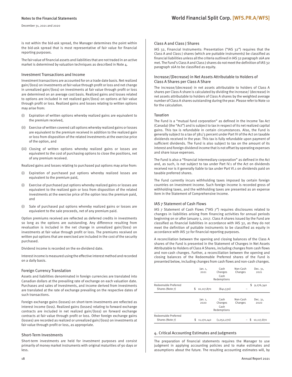is not within the bid-ask spread, the Manager determines the point within the bid-ask spread that is most representative of fair value for financial reporting purposes.

The fair value of financial assets and liabilities that are not traded in an active market is determined by valuation techniques as described in Note 4.

#### Investment Transactions and Income

Investment transactions are accounted for on a trade date basis. Net realized gain/(loss) on investments at fair value through profit or loss and net change in unrealized gain/(loss) on investments at fair value through profit or loss are determined on an average cost basis. Realized gains and losses related to options are included in net realized gain/(loss) on options at fair value through profit or loss. Realized gains and losses relating to written options may arise from:

- (i) Expiration of written options whereby realized gains are equivalent to the premium received,
- (ii) Exercise of written covered call options whereby realized gains or losses are equivalent to the premium received in addition to the realized gain or loss from disposition of the related investments at the exercise price of the option, and
- (iii) Closing of written options whereby realized gains or losses are equivalent to the cost of purchasing options to close the positions, net of any premium received.

Realized gains and losses relating to purchased put options may arise from:

- (i) Expiration of purchased put options whereby realized losses are equivalent to the premium paid,
- (i) Exercise of purchased put options whereby realized gains or losses are equivalent to the realized gain or loss from disposition of the related investments at the exercise price of the option less the premium paid, and
- (i) Sale of purchased put options whereby realized gains or losses are equivalent to the sale proceeds, net of any premium paid.

Option premiums received are reflected as deferred credits in investments so long as the options are outstanding. Any difference resulting from revaluation is included in the net change in unrealized gain/(loss) on investments at fair value through profit or loss. The premiums received on written put options that are exercised are included in the cost of the security purchased.

Dividend income is recorded on the ex-dividend date.

Interest income is measured using the effective interest method and recorded on a daily basis.

#### Foreign Currency Translation

Assets and liabilities denominated in foreign currencies are translated into Canadian dollars at the prevailing rate of exchange on each valuation date. Purchases and sales of investments, and income derived from investments are translated at the rate of exchange prevailing on the respective dates of such transactions.

Foreign exchange gains (losses) on short-term investments are reflected as interest income (loss). Realized gains (losses) relating to forward exchange contracts are included in net realized gain/(loss) on forward exchange contracts at fair value through profit or loss. Other foreign exchange gains (losses) are recorded as realized or unrealized gain/(loss) on investments at fair value through profit or loss, as appropriate.

#### Short-Term Investments

Short-term investments are held for investment purposes and consist primarily of money market instruments with original maturities of 90 days or less.

IAS 32, Financial Instruments: Presentation ("IAS 32") requires that the Class A and Class J shares (which are puttable instruments) be classified as financial liabilities unless all the criteria outlined in IAS 32 paragraph 16A are met. The Fund's Class A and Class J shares do not meet the definition of IAS 32 paragraph 16A to be classified as equity.

## Increase/(Decrease) in Net Assets Attributable to Holders of Class A Shares per Class A Share

The increase/(decrease) in net assets attributable to holders of Class A shares per Class A share is calculated by dividing the increase/ (decrease) in net assets attributable to holders of Class A shares by the weighted average number of Class A shares outstanding during the year. Please refer to Note 10 for the calculation.

#### Taxation

The Fund is a "mutual fund corporation" as defined in the Income Tax Act (Canada) (the "Act") and is subject to tax in respect of its net realized capital gains. This tax is refundable in certain circumstances. Also, the Fund is generally subject to a tax of 381/3 percent under Part IV of the Act on taxable dividends received in the year. This tax is fully refundable upon payment of sufficient dividends. The Fund is also subject to tax on the amount of its interest and foreign dividend income that is not offset by operating expenses and share issue expenses.

The Fund is also a "financial intermediary corporation" as defined in the Act and, as such, is not subject to tax under Part IV.1 of the Act on dividends received nor is it generally liable to tax under Part VI.1 on dividends paid on taxable preferred shares.

The Fund currently incurs withholding taxes imposed by certain foreign countries on investment income. Such foreign income is recorded gross of withholding taxes, and the withholding taxes are presented as an expense item in the Statement of Comprehensive Income.

# IAS 7 Statement of Cash Flows

IAS 7 Statement of Cash Flows ("IAS 7") requires disclosures related to changes in liabilities arising from financing activities for annual periods beginning on or after January 1, 2017. Class A shares issued by the Fund are classified as financial liabilities in accordance with IAS 32, as they do not meet the definition of puttable instruments to be classified as equity in accordance with IAS 32 for financial reporting purposes.

A reconciliation between the opening and closing balances of the Class A shares of the Fund is presented in the Statement of Changes in Net Assets Attributable to Holders of Class A Shares, including changes from cash flows and non-cash changes. Further, a reconciliation between the opening and closing balances of the Redeemable Preferred shares of the Fund is presented below, including changes from cash flows and non-cash changes.

|                                         | Jan. 1,<br>2021  | Cash<br>Changes<br>Cash<br>Redemptions | Non-Cash<br>Changes | Dec. 31,<br>2021 |
|-----------------------------------------|------------------|----------------------------------------|---------------------|------------------|
| Redeemable Preferred<br>Shares (Note 7) | \$<br>10,117,870 | (841,530)                              |                     | \$<br>9,276,340  |
|                                         | Jan. 1,<br>2020  | Cash<br>Changes<br>Cash<br>Redemptions | Non-Cash<br>Changes | Dec. 31,<br>2020 |
| Redeemable Preferred<br>Shares (Note 7) | \$<br>11,170,140 | (1,052,270)                            | - \$                | 10,117,870       |

## 4. Critical Accounting Estimates and Judgments

The preparation of financial statements requires the Manager to use judgment in applying accounting policies and to make estimates and assumptions about the future. The resulting accounting estimates will, by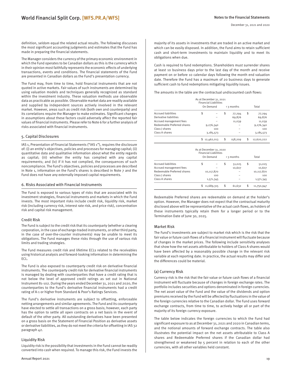definition, seldom equal the related actual results. The following discusses the most significant accounting judgments and estimates that the Fund has made in preparing the financial statements.

The Manager considers the currency of the primary economic environment in which the Fund operates to be Canadian dollars as this is the currency which in their opinion most faithfully represents the economic effects of underlying transactions, events and conditions. The financial statements of the Fund are presented in Canadian dollars as the Fund's presentation currency.

The Fund may, from time to time, hold financial instruments that are not quoted in active markets. Fair values of such instruments are determined by using valuation models and techniques generally recognized as standard within the investment industry. These valuation methods use observable data as practicable as possible. Observable market data are readily available and supplied by independent sources actively involved in the relevant market. However, areas such as credit risk (both own and counterparty) and its correlations require the Manager to make estimates. Significant changes in assumptions about these factors could adversely affect the reported fair values of financial instruments. Please refer to Note 6 for a further analysis of risks associated with financial instruments.

#### 5. Capital Disclosures

IAS 1, Presentation of Financial Statements ("IAS 1"), requires the disclosure of: (i) an entity's objectives, policies and processes for managing capital; (ii) quantitative data and qualitative information about what the entity regards as capital; (iii) whether the entity has complied with any capital requirements; and (iv) if it has not complied, the consequences of such noncompliance. The Fund's objectives, policies and processes are described in Note 1, information on the Fund's shares is described in Note 7 and the Fund does not have any externally imposed capital requirements.

#### 6. Risks Associated with Financial Instruments

The Fund is exposed to various types of risks that are associated with its investment strategies, financial instruments and markets in which the Fund invests. The most important risks include credit risk, liquidity risk, market risk (including currency risk, interest rate risk, and price risk), concentration risk and capital risk management.

#### Credit Risk

The Fund is subject to the credit risk that its counterparty (whether a clearing corporation, in the case of exchange-traded instruments, or other third party, in the case of over-the-counter instruments) may be unable to meet its obligations. The Fund manages these risks through the use of various risk limits and trading strategies.

The Fund measures credit risk and lifetime ECLs related to the receivables using historical analysis and forward-looking information in determining the ECL.

The Fund is also exposed to counterparty credit risk on derivative financial instruments. The counterparty credit risk for derivative financial instruments is managed by dealing with counterparties that have a credit rating that is not below the level of approved credit ratings as set out in National Instrument 81-102. During the years ended December 31, 2021 and 2020, the counterparties to the Fund's derivative financial instruments had a credit rating of A-1 or higher from Standard & Poor's Ratings Services.

The Fund's derivative instruments are subject to offsetting, enforceable netting arrangements and similar agreements. The Fund and its counterparty have elected to settle all transactions on a gross basis; however, each party has the option to settle all open contracts on a net basis in the event of default of the other party. All outstanding derivatives have been presented on a gross basis on the Statement of Financial Position as derivative assets or derivative liabilities, as they do not meet the criteria for offsetting in IAS 32 paragraph 42.

#### Liquidity Risk

Liquidity risk is the possibility that investments in the Fund cannot be readily converted into cash when required. To manage this risk, the Fund invests the

majority of its assets in investments that are traded in an active market and which can be easily disposed. In addition, the Fund aims to retain sufficient cash and short-term investments to maintain liquidity and to meet its obligations when due.

Cash is required to fund redemptions. Shareholders must surrender shares at least 10 business days prior to the last day of the month and receive payment on or before 10 calendar days following the month end valuation date. Therefore the Fund has a maximum of 20 business days to generate sufficient cash to fund redemptions mitigating liquidity issues.

The amounts in the table are the contractual undiscounted cash flows:

|                             | As at December 31, 2021 | <b>Financial Liabilities</b><br>On Demand | Total         |    |            |
|-----------------------------|-------------------------|-------------------------------------------|---------------|----|------------|
|                             |                         |                                           | < 3 months    |    |            |
| <b>Accrued liabilities</b>  | \$                      |                                           | \$<br>77,294  | \$ | 77,294     |
| Derivative liabilities      |                         |                                           | 69,876        |    | 69,876     |
| Accrued management fees     |                         |                                           | 11,039        |    | 11,039     |
| Redeemable Preferred shares |                         | 9,276,340                                 |               |    | 9,276,340  |
| Class I shares              |                         | 100                                       |               |    | 100        |
| Class A shares              |                         | 3,185,573                                 |               |    | 3,185,573  |
|                             |                         | 12,462,013                                | \$<br>158,209 | \$ | 12.620.222 |
|                             |                         |                                           |               |    |            |

|                             | As at December 31, 2020<br><b>Financial Liabilities</b> |            |              |              |
|-----------------------------|---------------------------------------------------------|------------|--------------|--------------|
|                             |                                                         | On Demand  | < 3 months   | Total        |
| <b>Accrued liabilities</b>  | \$                                                      |            | \$<br>51,025 | \$<br>51,025 |
| Accrued management fees     |                                                         |            | 10,607       | 10,607       |
| Redeemable Preferred shares |                                                         | 10,117,870 |              | 10,117,870   |
| Class J shares              |                                                         | 100        |              | 100          |
| Class A shares              |                                                         | 1,571,345  |              | 1,571,345    |
|                             |                                                         | 11,689,315 | 61,632       | 11,750,947   |

Redeemable Preferred shares are redeemable on demand at the holder's option. However, the Manager does not expect that the contractual maturity disclosed above will be representative of the actual cash flows, as holders of these instruments typically retain them for a longer period or to the Termination Date of June 30, 2025.

#### Market Risk

The Fund's investments are subject to market risk which is the risk that the fair value or future cash flows of a financial instrument will fluctuate because of changes in the market prices. The following include sensitivity analyses that show how the net assets attributable to holders of Class A shares would have been affected by a reasonably possible change in the relevant risk variable at each reporting date. In practice, the actual results may differ and the differences could be material.

#### (a) Currency Risk

Currency risk is the risk that the fair value or future cash flows of a financial instrument will fluctuate because of changes in foreign exchange rates. The portfolio includes securities and options denominated in foreign currencies. The net asset value of the Fund and the value of the dividends and option premiums received by the Fund will be affected by fluctuations in the value of the foreign currencies relative to the Canadian dollar. The Fund uses forward exchange contracts, from time to time, to actively hedge all or part of the majority of its foreign currency exposure.

The table below indicates the foreign currencies to which the Fund had significant exposure to as at December 31, 2021 and 2020 in Canadian terms, and the notional amounts of forward exchange contracts. The table also illustrates the potential impact on the net assets attributable to Class A shares and Redeemable Preferred shares if the Canadian dollar had strengthened or weakened by 5 percent in relation to each of the other currencies, with all other variables held constant.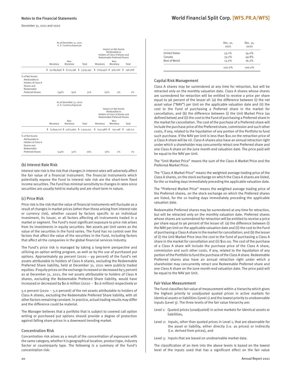December 31, 2021 and 2020

|                                                                                      |          | As at December 31, 2021<br>U. S. Currency Exposure |                                                   |                             |                                                                                                         |         |
|--------------------------------------------------------------------------------------|----------|----------------------------------------------------|---------------------------------------------------|-----------------------------|---------------------------------------------------------------------------------------------------------|---------|
|                                                                                      |          |                                                    |                                                   |                             | Impact on Net Assets<br>Attributable to<br>Holders of Class A Shares and<br>Redeemable Preferred Shares |         |
|                                                                                      | Monetary | Non-<br>Monetary                                   | Total                                             | Monetary                    | Non-<br>Monetary                                                                                        | Total   |
|                                                                                      | \$       |                                                    | $(4,189,849)$ \$ 8,125,196 \$ 3,935,347           | $$^{(209,492)}$$ 406,260 \$ |                                                                                                         | 196,768 |
| % of Net Assets<br>Attributable to<br>Holders of Class A<br>Shares and<br>Redeemable |          |                                                    |                                                   |                             |                                                                                                         |         |
| <b>Preferred Shares</b>                                                              | (34)%    | 65%                                                | 31%                                               | $(2)\%$                     | 3%                                                                                                      | $1\%$   |
|                                                                                      |          | As at December 31, 2020<br>U. S. Currency Exposure |                                                   |                             | Impact on Net Assets<br>Attributable to                                                                 |         |
|                                                                                      |          |                                                    |                                                   |                             | Holders of Class A Shares and<br>Redeemable Preferred Shares                                            |         |
|                                                                                      | Monetary | Non-<br>Monetary                                   | Total                                             | Monetary                    | Non-<br>Monetary                                                                                        | Total   |
|                                                                                      |          |                                                    | $$$ $(2,849,711)$ $$$ $5,823,963$ $$$ $2,974,252$ | $$(142, 486)$ \$            | 291,198 \$                                                                                              | 148,712 |
| % of Net Assets<br>Attributable to<br>Holders of Class A<br>Shares and<br>Redeemable |          |                                                    |                                                   |                             |                                                                                                         |         |
| <b>Preferred Shares</b>                                                              | (24)%    | 50%                                                | 26%                                               | $(1)\%$                     | 2%                                                                                                      | $1\%$   |

#### (b) Interest Rate Risk

Interest rate risk is the risk that changes in interest rates will adversely affect the fair value of a financial instrument. The financial instruments which potentially expose the Fund to interest rate risk are the short-term fixed income securities. The Fund has minimal sensitivity to changes in rates since securities are usually held to maturity and are short-term in nature.

#### (c) Price Risk

Price risk is the risk that the value of financial instruments will fluctuate as a result of changes in market prices (other than those arising from interest rate or currency risk), whether caused by factors specific to an individual investment, its issuer, or all factors affecting all instruments traded in a market or segment. The Fund's most significant exposure to price risk arises from its investments in equity securities. Net assets per Unit varies as the value of the securities in the Fund varies. The Fund has no control over the factors that affect the value of the securities in the Fund, including factors that affect all the companies in the global financial services industry.

The Fund's price risk is managed by taking a long-term perspective and utilizing an option writing program, as well as by the use of purchased put options. Approximately 99 percent (2020 – 99 percent) of the Fund's net assets attributable to holders of Class A shares, excluding the Redeemable Preferred Share liability, held at December 31, 2021 were publicly traded equities. If equity prices on the exchange increased or decreased by 5 percent as at December 31, 2021, the net assets attributable to holders of Class A shares, excluding the Redeemable Preferred Share liability, would have increased or decreased by \$0.6 million (2020 – \$0.6 million) respectively or

5.0 percent (2020 – 5.0 percent) of the net assets attributable to holders of Class A shares, excluding the Redeemable Preferred Share liability, with all other factors remaining constant. In practice, actual trading results may differ and the difference could be material.

The Manager believes that a portfolio that is subject to covered call option writing or purchased put options should provide a degree of protection against falling share prices in a downward trending market.

#### Concentration Risk

Concentration risk arises as a result of the concentration of exposures with the same category, whether it is geographical location, product type, industry Sector or counterparty type. The following is a summary of the Fund's concentration risk:

|                      | Dec. 31,<br>2021 | Dec. 31,<br>2020 |
|----------------------|------------------|------------------|
| <b>United States</b> | 53.1%            | 34.0%            |
| Canada               | 33.7%            | 49.8%            |
| Rest of World        | 13.2%            | 16.2%            |
|                      | $100.0\%$        | $100.0\%$        |

#### Capital Risk Management

Class A shares may be surrendered at any time for retraction, but will be retracted only on the monthly valuation date. Class A shares whose shares are surrendered for retraction will be entitled to receive a price per share equal to 96 percent of the lesser of: (a) the difference between (i) the net asset value ("NAV") per Unit on the applicable valuation date and (ii) the cost to the Fund of purchasing a Preferred share in the market for cancellation; and (b) the difference between (i) the Unit Market Price (as defined below) and (ii) the cost to the Fund of purchasing a Preferred share in the market for cancellation. The cost of the purchase of a Preferred share will include the purchase price of the Preferred share, commission and such other costs, if any, related to the liquidation of any portion of the Portfolio to fund such purchase. If the NAV per Unit is less than \$10.00 the retraction price of a Class A share will be nil. Class A shares also have an annual retraction right under which a shareholder may concurrently retract one Preferred share and one Class A share on the June month-end valuation date. The price paid will be equal to the NAV per Unit.

The "Unit Market Price" means the sum of the Class A Market Price and the Preferred Market Price.

The "Class A Market Price" means the weighted average trading price of the Class A shares, on the stock exchange on which the Class A shares are listed, for the 10 trading days immediately preceding the applicable valuation date.

The "Preferred Market Price" means the weighted average trading price of the Preferred shares, on the stock exchange on which the Preferred shares are listed, for the 10 trading days immediately preceding the applicable valuation date.

Redeemable Preferred shares may be surrendered at any time for retraction, but will be retracted only on the monthly valuation date. Preferred shares whose shares are surrendered for retraction will be entitled to receive a price per share equal to 96 percent of the lesser of: (a) the difference between (i) the NAV per Unit on the applicable valuation date and (ii) the cost to the Fund of purchasing a Class A share in the market for cancellation; and (b) the lesser of (i) the Unit Market Price less the cost to the Fund of purchasing a Class A share in the market for cancellation and (ii) \$10.00. The cost of the purchase of a Class A share will include the purchase price of the Class A share, commission and such other costs, if any, related to the liquidation of any portion of the Portfolio to fund the purchase of the Class A share. Redeemable Preferred shares also have an annual retraction right under which a shareholder may concurrently retract one Redeemable Preferred share and one Class A share on the June month-end valuation date. The price paid will be equal to the NAV per Unit.

#### Fair Value Measurement

The Fund classifies fair value of measurement within a hierarchy which gives the highest priority to unadjusted quoted prices in active markets for identical assets or liabilities (Level 1) and the lowest priority to unobservable inputs (Level 3). The three levels of the fair value hierarchy are:

- Level 1: Quoted prices (unadjusted) in active markets for identical assets or liabilities,
- Level 2: Inputs, other than quoted prices in Level 1, that are observable for the asset or liability, either directly (i.e. as prices) or indirectly (i.e. derived from prices), and

Level 3: Inputs that are based on unobservable market data.

The classification of an item into the above levels is based on the lowest level of the inputs used that has a significant effect on the fair value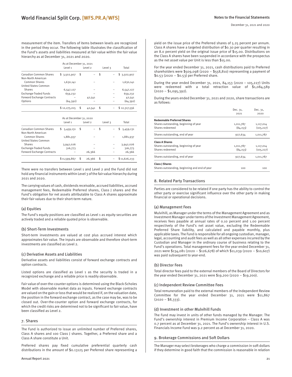measurement of the item. Transfers of items between levels are recognized in the period they occur. The following table illustrates the classification of the Fund's assets and liabilities measured at fair value within the fair value hierarchy as at December 31, 2021 and 2020.

|                                                     | As at December 31, 2021<br>Level 1 | Level <sub>2</sub> | Level 3 | Total           |
|-----------------------------------------------------|------------------------------------|--------------------|---------|-----------------|
| Canadian Common Shares<br>Non-North American        | \$3,502,907                        | \$                 | \$      | \$3,502,907     |
| Common Shares<br><b>United States Common</b>        | 1,630,141                          |                    |         | 1,630,141       |
| Shares                                              | 6,547,127                          |                    |         | 6,547,127       |
| Exchange-Traded Funds                               | 659,232                            |                    |         | 659,232         |
| Forward Exchange Contracts                          |                                    | 42,541             |         | 42,541          |
| Options                                             | (64, 392)                          |                    |         | (64, 392)       |
|                                                     | \$12,275,015                       | \$<br>42,541       | \$      | \$12,317,556    |
|                                                     | As at December 31, 2020<br>Level 1 | Level <sub>2</sub> | Level 3 | Total           |
| <b>Canadian Common Shares</b><br>Non-North American | \$<br>5,459,131                    | \$                 | \$      | \$<br>5,459,131 |
| Common Shares                                       | 1,881,937                          |                    |         | 1,881,937       |
| <b>United States Common</b>                         |                                    |                    |         |                 |
| Shares                                              | 3,942,026                          |                    |         | 3,942,026       |
| Exchange-Traded Funds                               | 316,773                            |                    |         | 316,773         |
| <b>Forward Exchange Contracts</b>                   |                                    | 26,366             |         | 26,366          |
|                                                     | \$11,599,867                       | \$<br>26,366       | \$      | \$11,626,233    |

There were no transfers between Level 1 and Level 2 and the Fund did not hold any financial instruments within Level 3 of the fair value hierarchy during 2021 and 2020.

The carrying values of cash, dividends receivable, accrued liabilities, accrued management fees, Redeemable Preferred shares, Class J shares and the Fund's obligation for net assets attributable to Class A shares approximate their fair values due to their short-term nature.

#### (a) Equities

The Fund's equity positions are classified as Level 1 as equity securities are actively traded and a reliable quoted price is observable.

#### (b) Short-Term Investments

Short-term investments are valued at cost plus accrued interest which approximates fair value. The inputs are observable and therefore short-term investments are classified as Level 2.

## (c) Derivative Assets and Liabilities

Derivative assets and liabilities consist of forward exchange contracts and option contracts.

Listed options are classified as Level 1 as the security is traded in a recognized exchange and a reliable price is readily observable.

Fair value of over-the-counter options is determined using the Black-Scholes Model with observable market data as inputs. Forward exchange contracts are valued on the gain or loss that would be realized if, on the valuation date, the position in the forward exchange contract, as the case may be, was to be closed out. Over-the-counter option and forward exchange contracts, for which the credit risks are determined not to be significant to fair value, have been classified as Level 2.

#### 7. Shares

The Fund is authorized to issue an unlimited number of Preferred shares, Class A shares and 100 Class J shares. Together, a Preferred share and a Class A share constitute a Unit.

Preferred shares pay fixed cumulative preferential quarterly cash distributions in the amount of \$0.13125 per Preferred share representing a yield on the issue price of the Preferred shares of 5.25 percent per annum. Class A shares have a targeted distribution of \$0.30 per quarter resulting in an 8.0 percent yield on the original issue price of \$15.00. Distributions on the Class A shares have been suspended in accordance with the prospectus as the net asset value per Unit is less than \$15.00.

For the year ended December 31, 2021, cash distributions paid to Preferred shareholders were \$509,098 (2020 – \$558,810) representing a payment of \$0.53 (2020 – \$0.53) per Preferred share.

During the year ended December 31, 2021, 84,153 (2020 – 105,227) Units were redeemed with a total retraction value of \$1,084,589  $(2020 - $1,095,392)$ .

During the years ended December 31, 2021 and 2020, share transactions are as follows:

|                                               | Dec. 31,  | Dec. 31,   |
|-----------------------------------------------|-----------|------------|
|                                               | 2021      | 2020       |
| <b>Redeemable Preferred Shares</b>            |           |            |
| Shares outstanding, beginning of year         | 1,011,787 | 1,117,014  |
| Shares redeemed                               | (84, 153) | (105, 227) |
| Shares outstanding, end of year               | 927,634   | 1,011,787  |
| <b>Class A Shares</b>                         |           |            |
| Shares outstanding, beginning of year         | 1,011,787 | 1,117,014  |
| Shares redeemed                               | (84, 153) | (105, 227) |
| Shares outstanding, end of year               | 927,634   | 1,011,787  |
| <b>Class J Shares</b>                         |           |            |
| Shares outstanding, beginning and end of year | 100       | 100        |
|                                               |           |            |

#### 8. Related Party Transactions

Parties are considered to be related if one party has the ability to control the other party or exercise significant influence over the other party in making financial or operational decisions.

#### (a) Management Fees

Mulvihill, as Manager under the terms of the Management Agreement and as Investment Manager under terms of the Investment Management Agreement, receives fees payable at annual rates of 0.10 percent and 1.00 percent respectively of the Fund's net asset value, excluding the Redeemable Preferred Share liability, and calculated and payable monthly, plus applicable taxes. The Fund is responsible for all ongoing custodian, manager, legal, accounting and audit fees as well as all other expenses incurred by the Custodian and Manager in the ordinary course of business relating to the Fund's operations. Total management fees for the year ended December 31, 2021 were \$134,081 (2020 – \$126,678) of which \$11,039 (2020 – \$10,607) was paid subsequent to year-end.

#### (b) Director Fees

Total director fees paid to the external members of the Board of Directors for the year ended December 31, 2021 were \$19,200 (2020 – \$19,200).

#### (c) Independent Review Committee Fees

Total remuneration paid to the external members of the Independent Review Committee for the year ended December 31, 2021 were \$11,867  $(2020 - $8,333)$ .

#### (d) Investment in other Mulvihill Funds

The Fund may invest in units of other funds managed by the Manager. The Fund's ownership interest in Premium Income Corporation – Class A was 0.7 percent as at December 31, 2021. The Fund's ownership interest in U.S. Financials Income Fund was 9.2 percent as at December 31, 2020.

#### 9. Brokerage Commissions and Soft Dollars

The Manager may select brokerages who charge a commission in soft dollars if they determine in good faith that the commission is reasonable in relation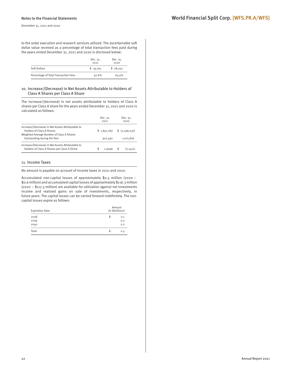December 31, 2021 and 2020

to the order execution and research services utilized. The ascertainable soft dollar value received as a percentage of total transaction fees paid during the years ended December 31, 2021 and 2020 is disclosed below:

|                                      | Dec. 31,<br>2021 | Dec. 31,<br>2020 |
|--------------------------------------|------------------|------------------|
| Soft Dollars                         | \$19,105         | \$28,252         |
| Percentage of Total Transaction Fees | 50.6%            | 63.4%            |

# 10. Increase/(Decrease) in Net Assets Attributable to Holders of Class A Shares per Class A Share

The increase/(decrease) in net assets attributable to holders of Class A shares per Class A share for the years ended December 31, 2021 and 2020 is calculated as follows:

|                                                                                                                             |     | Dec. 31,<br>2021 | Dec. 31,<br>2020          |
|-----------------------------------------------------------------------------------------------------------------------------|-----|------------------|---------------------------|
| Increase/(Decrease) in Net Assets Attributable to<br>Holders of Class A Shares<br>Weighted Average Number of Class A Shares |     |                  | $$1,857,287$ $$2,296,037$ |
| Outstanding during the Year                                                                                                 |     | 972,592          | 1,071,876                 |
| Increase/(Decrease) in Net Assets Attributable to<br>Holders of Class A Shares per Class A Share                            | \$. | 1.9096           | \$<br>(2.1421)            |
|                                                                                                                             |     |                  |                           |

# 11. Income Taxes

No amount is payable on account of income taxes in 2021 and 2020.

Accumulated non-capital losses of approximately \$0.5 million (2020 – \$0.6 million) and accumulated capital losses of approximately \$116.3 million (2020 – \$117.5 million) are available for utilization against net investments income and realized gains on sale of investments, respectively, in future years. The capital losses can be carried forward indefinitely. The noncapital losses expire as follows:

| <b>Expiration Date</b> | Amount<br>(in \$millions) |     |
|------------------------|---------------------------|-----|
| 2038                   | S                         | 0.1 |
| 2039                   |                           | 0.2 |
| 2040                   |                           | 0.2 |
| Total                  | S                         | 0.5 |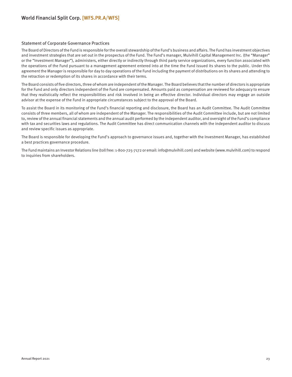# Statement of Corporate Governance Practices

The Board of Directors of the Fund is responsible for the overall stewardship of the Fund's business and affairs. The Fund has investment objectives and investment strategies that are set out in the prospectus of the Fund. The Fund's manager, Mulvihill Capital Management Inc. (the "Manager" or the "Investment Manager"), administers, either directly or indirectly through third party service organizations, every function associated with the operations of the Fund pursuant to a management agreement entered into at the time the Fund issued its shares to the public. Under this agreement the Manager is responsible for day to day operations of the Fund including the payment of distributions on its shares and attending to the retraction or redemption of its shares in accordance with their terms.

The Board consists of five directors, three of whom are independent of the Manager. The Board believes that the number of directors is appropriate for the Fund and only directors independent of the Fund are compensated. Amounts paid as compensation are reviewed for adequacy to ensure that they realistically reflect the responsibilities and risk involved in being an effective director. Individual directors may engage an outside advisor at the expense of the Fund in appropriate circumstances subject to the approval of the Board.

To assist the Board in its monitoring of the Fund's financial reporting and disclosure, the Board has an Audit Committee. The Audit Committee consists of three members, all of whom are independent of the Manager. The responsibilities of the Audit Committee include, but are not limited to, review of the annual financial statements and the annual audit performed by the independent auditor, and oversight of the Fund's compliance with tax and securities laws and regulations. The Audit Committee has direct communication channels with the independent auditor to discuss and review specific issues as appropriate.

The Board is responsible for developing the Fund's approach to governance issues and, together with the Investment Manager, has established a best practices governance procedure.

The Fund maintains an Investor Relations line (toll free: 1-800-725-7172 or email: info@mulvihill.com) and website (www.mulvihill.com) to respond to inquiries from shareholders.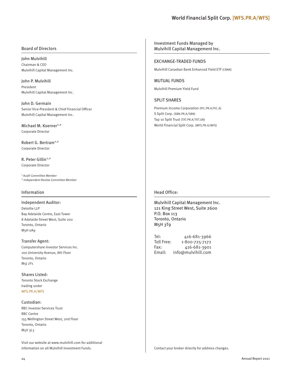# Board of Directors

John Mulvihill Chairman & CEO Mulvihill Capital Management Inc.

John P. Mulvihill President Mulvihill Capital Management Inc.

John D. Germain Senior Vice-President & Chief Financial Officer Mulvihill Capital Management Inc.

Michael M. Koerner<sup>1,2</sup> Corporate Director

Robert G. Bertram<sup>1,2</sup> Corporate Director

R. Peter Gillin<sup>1,2</sup> Corporate Director

<sup>1</sup> Audit Committee Member <sup>2</sup> Independent Review Committee Member

# Information

Independent Auditor: Deloitte LLP

Bay Adelaide Centre, East Tower 8 Adelaide Street West, Suite 200 Toronto, Ontario M5H 0A9

Transfer Agent: Computershare Investor Services Inc. 100 University Avenue, 8th Floor Toronto, Ontario M5J 2Y1

Shares Listed: Toronto Stock Exchange trading under WFS.PR.A/WFS

Custodian: RBC Investor Services Trust RBC Centre 155 Wellington Street West, 2nd Floor Toronto, Ontario M5V 3L3

Visit our website at www.mulvihill.com for additional information on all Mulvihill Investment Funds. Contact your broker directly for address changes.

Investment Funds Managed by Mulvihill Capital Management Inc.

# EXCHANGE-TRADED FUNDS

Mulvihill Canadian Bank Enhanced Yield ETF (CBNK)

# MUTUAL FUNDS

Mulvihill Premium Yield Fund

# SPLIT SHARES

Premium Income Corporation (PIC.PR.A/PIC.A) S Split Corp. (SBN.PR.A/SBN) Top 10 Split Trust (TXT.PR.A/TXT.UN) World Financial Split Corp. (WFS.PR.A/WFS)

# Head Office:

Mulvihill Capital Management Inc. 121 King Street West, Suite 2600 P.O. Box 113 Toronto, Ontario M5H 3T9

Tel: 416-681-3966 Toll Free: 1-800-725-7172 Fax: 416-681-3901 Email: info@mulvihill.com